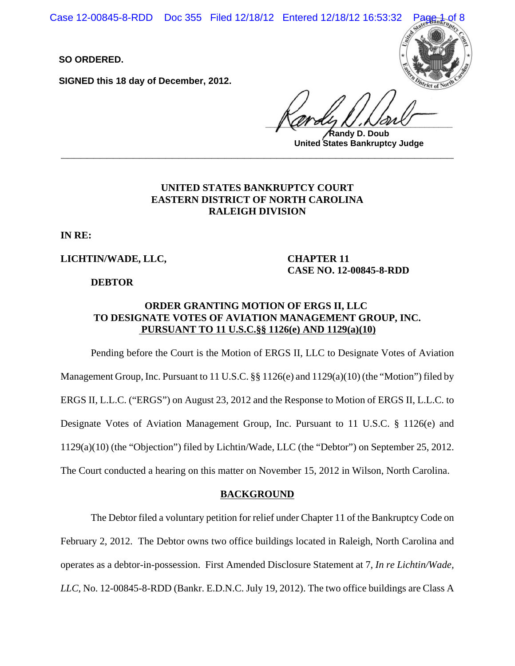Case 12-00845-8-RDD Doc 355 Filed 12/18/12 Entered 12/18/12 16:53:32

**SO ORDERED.**

**SIGNED this 18 day of December, 2012.**



 $\sqrt{u}$ 

**Randy D. Doub United States Bankruptcy Judge \_\_\_\_\_\_\_\_\_\_\_\_\_\_\_\_\_\_\_\_\_\_\_\_\_\_\_\_\_\_\_\_\_\_\_\_\_\_\_\_\_\_\_\_\_\_\_\_\_\_\_\_\_\_\_\_\_\_\_\_**

# **UNITED STATES BANKRUPTCY COURT EASTERN DISTRICT OF NORTH CAROLINA RALEIGH DIVISION**

**IN RE:**

**LICHTIN/WADE, LLC,**

**DEBTOR**

**CHAPTER 11 CASE NO. 12-00845-8-RDD**

# **ORDER GRANTING MOTION OF ERGS II, LLC TO DESIGNATE VOTES OF AVIATION MANAGEMENT GROUP, INC. PURSUANT TO 11 U.S.C.§§ 1126(e) AND 1129(a)(10)**

Pending before the Court is the Motion of ERGS II, LLC to Designate Votes of Aviation Management Group, Inc. Pursuant to 11 U.S.C.  $\S$  1126(e) and 1129(a)(10) (the "Motion") filed by ERGS II, L.L.C. ("ERGS") on August 23, 2012 and the Response to Motion of ERGS II, L.L.C. to Designate Votes of Aviation Management Group, Inc. Pursuant to 11 U.S.C. § 1126(e) and 1129(a)(10) (the "Objection") filed by Lichtin/Wade, LLC (the "Debtor") on September 25, 2012. The Court conducted a hearing on this matter on November 15, 2012 in Wilson, North Carolina.

### **BACKGROUND**

The Debtor filed a voluntary petition for relief under Chapter 11 of the Bankruptcy Code on February 2, 2012. The Debtor owns two office buildings located in Raleigh, North Carolina and operates as a debtor-in-possession. First Amended Disclosure Statement at 7, *In re Lichtin/Wade, LLC*, No. 12-00845-8-RDD (Bankr. E.D.N.C. July 19, 2012). The two office buildings are Class A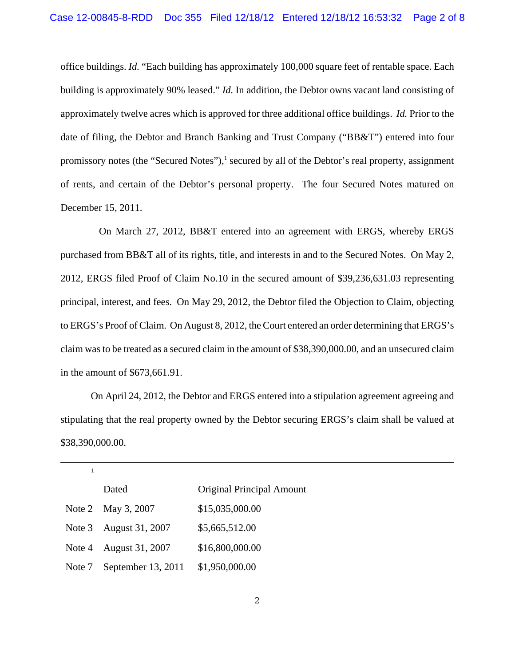office buildings. *Id.* "Each building has approximately 100,000 square feet of rentable space. Each building is approximately 90% leased." *Id.* In addition, the Debtor owns vacant land consisting of approximately twelve acres which is approved for three additional office buildings. *Id.* Prior to the date of filing, the Debtor and Branch Banking and Trust Company ("BB&T") entered into four promissory notes (the "Secured Notes"),<sup>1</sup> secured by all of the Debtor's real property, assignment of rents, and certain of the Debtor's personal property. The four Secured Notes matured on December 15, 2011.

 On March 27, 2012, BB&T entered into an agreement with ERGS, whereby ERGS purchased from BB&T all of its rights, title, and interests in and to the Secured Notes. On May 2, 2012, ERGS filed Proof of Claim No.10 in the secured amount of \$39,236,631.03 representing principal, interest, and fees. On May 29, 2012, the Debtor filed the Objection to Claim, objecting to ERGS's Proof of Claim. On August 8, 2012, the Court entered an order determining that ERGS's claim was to be treated as a secured claim in the amount of \$38,390,000.00, and an unsecured claim in the amount of \$673,661.91.

On April 24, 2012, the Debtor and ERGS entered into a stipulation agreement agreeing and stipulating that the real property owned by the Debtor securing ERGS's claim shall be valued at \$38,390,000.00.

|        | Dated                  | <b>Original Principal Amount</b> |
|--------|------------------------|----------------------------------|
|        | Note 2 May 3, 2007     | \$15,035,000.00                  |
|        | Note 3 August 31, 2007 | \$5,665,512.00                   |
| Note 4 | August 31, 2007        | \$16,800,000.00                  |
| Note 7 | September 13, 2011     | \$1,950,000.00                   |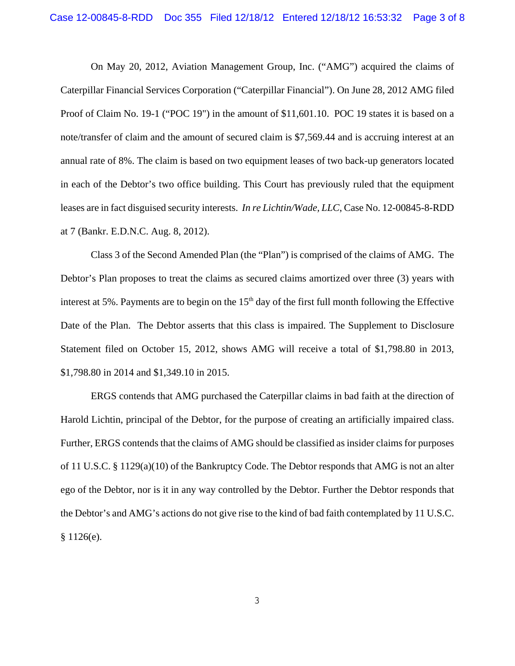On May 20, 2012, Aviation Management Group, Inc. ("AMG") acquired the claims of Caterpillar Financial Services Corporation ("Caterpillar Financial"). On June 28, 2012 AMG filed Proof of Claim No. 19-1 ("POC 19") in the amount of \$11,601.10. POC 19 states it is based on a note/transfer of claim and the amount of secured claim is \$7,569.44 and is accruing interest at an annual rate of 8%. The claim is based on two equipment leases of two back-up generators located in each of the Debtor's two office building. This Court has previously ruled that the equipment leases are in fact disguised security interests. *In re Lichtin/Wade, LLC*, Case No. 12-00845-8-RDD at 7 (Bankr. E.D.N.C. Aug. 8, 2012).

Class 3 of the Second Amended Plan (the "Plan") is comprised of the claims of AMG. The Debtor's Plan proposes to treat the claims as secured claims amortized over three (3) years with interest at 5%. Payments are to begin on the  $15<sup>th</sup>$  day of the first full month following the Effective Date of the Plan. The Debtor asserts that this class is impaired. The Supplement to Disclosure Statement filed on October 15, 2012, shows AMG will receive a total of \$1,798.80 in 2013, \$1,798.80 in 2014 and \$1,349.10 in 2015.

ERGS contends that AMG purchased the Caterpillar claims in bad faith at the direction of Harold Lichtin, principal of the Debtor, for the purpose of creating an artificially impaired class. Further, ERGS contends that the claims of AMG should be classified as insider claims for purposes of 11 U.S.C. § 1129(a)(10) of the Bankruptcy Code. The Debtor responds that AMG is not an alter ego of the Debtor, nor is it in any way controlled by the Debtor. Further the Debtor responds that the Debtor's and AMG's actions do not give rise to the kind of bad faith contemplated by 11 U.S.C.  $§ 1126(e).$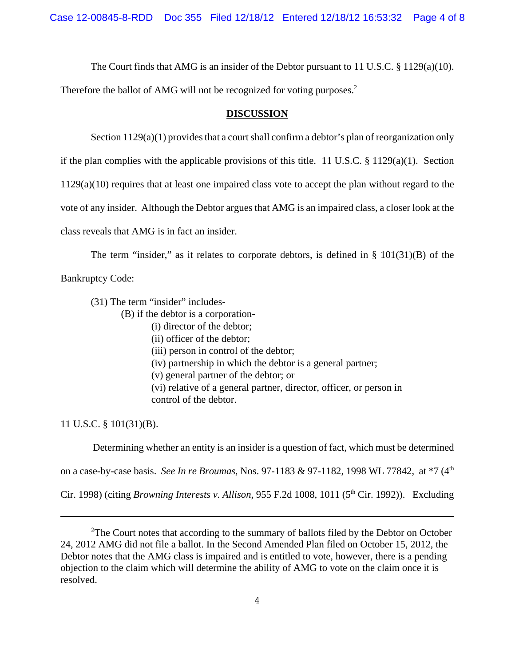Case 12-00845-8-RDD Doc 355 Filed 12/18/12 Entered 12/18/12 16:53:32 Page 4 of 8

The Court finds that AMG is an insider of the Debtor pursuant to 11 U.S.C.  $\S$  1129(a)(10).

Therefore the ballot of AMG will not be recognized for voting purposes.<sup>2</sup>

#### **DISCUSSION**

Section 1129(a)(1) provides that a court shall confirm a debtor's plan of reorganization only

if the plan complies with the applicable provisions of this title. 11 U.S.C.  $\S$  1129(a)(1). Section

1129(a)(10) requires that at least one impaired class vote to accept the plan without regard to the

vote of any insider. Although the Debtor argues that AMG is an impaired class, a closer look at the

class reveals that AMG is in fact an insider.

The term "insider," as it relates to corporate debtors, is defined in  $\S$  101(31)(B) of the

Bankruptcy Code:

(31) The term "insider" includes-

(B) if the debtor is a corporation-

- (i) director of the debtor;
- (ii) officer of the debtor;
- (iii) person in control of the debtor;
- (iv) partnership in which the debtor is a general partner;
- (v) general partner of the debtor; or
- (vi) relative of a general partner, director, officer, or person in control of the debtor.

11 U.S.C. § 101(31)(B).

Determining whether an entity is an insider is a question of fact, which must be determined

on a case-by-case basis. *See In re Broumas*, Nos. 97-1183 & 97-1182, 1998 WL 77842, at \*7 (4th

Cir. 1998) (citing *Browning Interests v. Allison*, 955 F.2d 1008, 1011 (5<sup>th</sup> Cir. 1992)). Excluding

 $2^2$ The Court notes that according to the summary of ballots filed by the Debtor on October 24, 2012 AMG did not file a ballot. In the Second Amended Plan filed on October 15, 2012, the Debtor notes that the AMG class is impaired and is entitled to vote, however, there is a pending objection to the claim which will determine the ability of AMG to vote on the claim once it is resolved.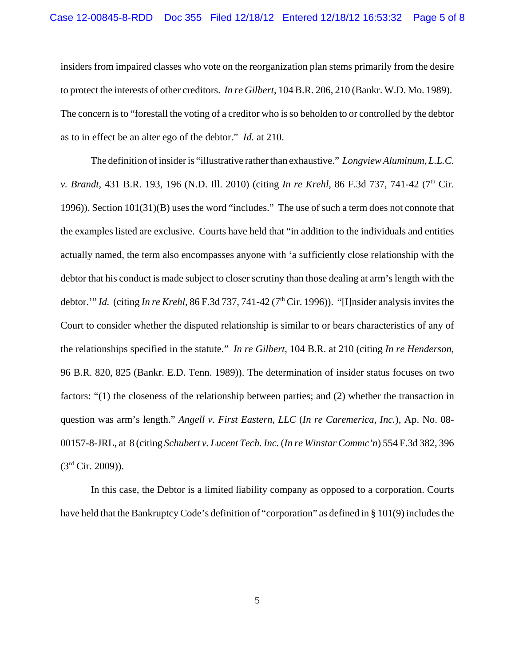insiders from impaired classes who vote on the reorganization plan stems primarily from the desire to protect the interests of other creditors. *In re Gilbert*, 104 B.R. 206, 210 (Bankr. W.D. Mo. 1989). The concern is to "forestall the voting of a creditor who is so beholden to or controlled by the debtor as to in effect be an alter ego of the debtor." *Id.* at 210.

The definition of insider is "illustrative rather than exhaustive." *Longview Aluminum, L.L.C. v. Brandt*, 431 B.R. 193, 196 (N.D. Ill. 2010) (citing *In re Krehl*, 86 F.3d 737, 741-42 (7<sup>th</sup> Cir. 1996)). Section 101(31)(B) uses the word "includes." The use of such a term does not connote that the examples listed are exclusive. Courts have held that "in addition to the individuals and entities actually named, the term also encompasses anyone with 'a sufficiently close relationship with the debtor that his conduct is made subject to closer scrutiny than those dealing at arm's length with the debtor.'" *Id.* (citing *In re Krehl*, 86 F.3d 737, 741-42 (7<sup>th</sup> Cir. 1996)). "[I]nsider analysis invites the Court to consider whether the disputed relationship is similar to or bears characteristics of any of the relationships specified in the statute." *In re Gilbert*, 104 B.R. at 210 (citing *In re Henderson*, 96 B.R. 820, 825 (Bankr. E.D. Tenn. 1989)). The determination of insider status focuses on two factors: "(1) the closeness of the relationship between parties; and (2) whether the transaction in question was arm's length." *Angell v. First Eastern, LLC* (*In re Caremerica, Inc.*), Ap. No. 08- 00157-8-JRL, at 8 (citing *Schubert v. Lucent Tech. Inc.* (*In re Winstar Commc'n*) 554 F.3d 382, 396  $(3<sup>rd</sup> Cir. 2009)$ ).

In this case, the Debtor is a limited liability company as opposed to a corporation. Courts have held that the Bankruptcy Code's definition of "corporation" as defined in § 101(9) includes the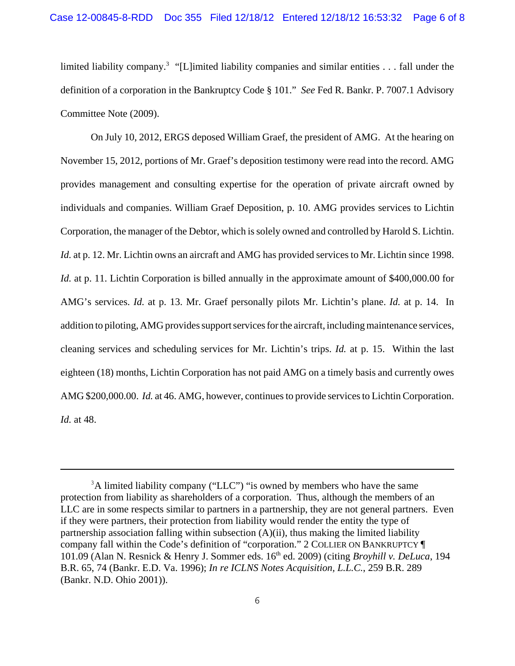limited liability company.<sup>3</sup> "[L]imited liability companies and similar entities . . . fall under the definition of a corporation in the Bankruptcy Code § 101." *See* Fed R. Bankr. P. 7007.1 Advisory Committee Note (2009).

On July 10, 2012, ERGS deposed William Graef, the president of AMG. At the hearing on November 15, 2012, portions of Mr. Graef's deposition testimony were read into the record. AMG provides management and consulting expertise for the operation of private aircraft owned by individuals and companies. William Graef Deposition, p. 10. AMG provides services to Lichtin Corporation, the manager of the Debtor, which is solely owned and controlled by Harold S. Lichtin. *Id.* at p. 12. Mr. Lichtin owns an aircraft and AMG has provided services to Mr. Lichtin since 1998. *Id.* at p. 11. Lichtin Corporation is billed annually in the approximate amount of \$400,000.00 for AMG's services. *Id.* at p. 13. Mr. Graef personally pilots Mr. Lichtin's plane. *Id.* at p. 14. In addition to piloting, AMG provides support services for the aircraft, including maintenance services, cleaning services and scheduling services for Mr. Lichtin's trips. *Id.* at p. 15. Within the last eighteen (18) months, Lichtin Corporation has not paid AMG on a timely basis and currently owes AMG \$200,000.00. *Id.* at 46. AMG, however, continues to provide services to Lichtin Corporation. *Id.* at 48.

 $3A$  limited liability company ("LLC") "is owned by members who have the same protection from liability as shareholders of a corporation. Thus, although the members of an LLC are in some respects similar to partners in a partnership, they are not general partners. Even if they were partners, their protection from liability would render the entity the type of partnership association falling within subsection (A)(ii), thus making the limited liability company fall within the Code's definition of "corporation." 2 COLLIER ON BANKRUPTCY ¶ 101.09 (Alan N. Resnick & Henry J. Sommer eds. 16<sup>th</sup> ed. 2009) (citing *Broyhill v. DeLuca*, 194 B.R. 65, 74 (Bankr. E.D. Va. 1996); *In re ICLNS Notes Acquisition, L.L.C.*, 259 B.R. 289 (Bankr. N.D. Ohio 2001)).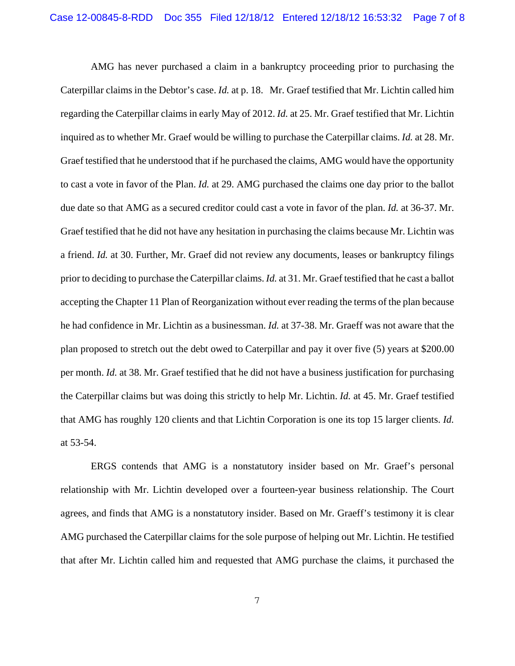AMG has never purchased a claim in a bankruptcy proceeding prior to purchasing the Caterpillar claims in the Debtor's case. *Id.* at p. 18. Mr. Graef testified that Mr. Lichtin called him regarding the Caterpillar claims in early May of 2012. *Id.* at 25. Mr. Graef testified that Mr. Lichtin inquired as to whether Mr. Graef would be willing to purchase the Caterpillar claims. *Id.* at 28. Mr. Graef testified that he understood that if he purchased the claims, AMG would have the opportunity to cast a vote in favor of the Plan. *Id.* at 29. AMG purchased the claims one day prior to the ballot due date so that AMG as a secured creditor could cast a vote in favor of the plan. *Id.* at 36-37. Mr. Graef testified that he did not have any hesitation in purchasing the claims because Mr. Lichtin was a friend. *Id.* at 30. Further, Mr. Graef did not review any documents, leases or bankruptcy filings prior to deciding to purchase the Caterpillar claims. *Id.* at 31. Mr. Graef testified that he cast a ballot accepting the Chapter 11 Plan of Reorganization without ever reading the terms of the plan because he had confidence in Mr. Lichtin as a businessman. *Id.* at 37-38. Mr. Graeff was not aware that the plan proposed to stretch out the debt owed to Caterpillar and pay it over five (5) years at \$200.00 per month. *Id.* at 38. Mr. Graef testified that he did not have a business justification for purchasing the Caterpillar claims but was doing this strictly to help Mr. Lichtin. *Id.* at 45. Mr. Graef testified that AMG has roughly 120 clients and that Lichtin Corporation is one its top 15 larger clients. *Id.* at 53-54.

ERGS contends that AMG is a nonstatutory insider based on Mr. Graef's personal relationship with Mr. Lichtin developed over a fourteen-year business relationship. The Court agrees, and finds that AMG is a nonstatutory insider. Based on Mr. Graeff's testimony it is clear AMG purchased the Caterpillar claims for the sole purpose of helping out Mr. Lichtin. He testified that after Mr. Lichtin called him and requested that AMG purchase the claims, it purchased the